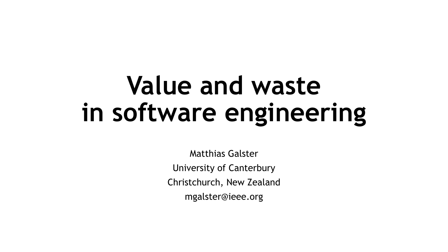# **Value and waste in software engineering**

Matthias Galster University of Canterbury Christchurch, New Zealand mgalster@ieee.org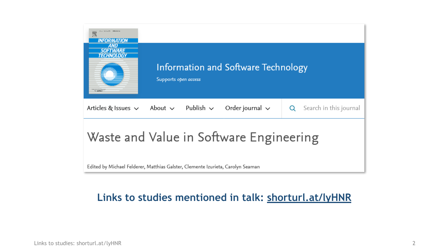

### **Links to studies mentioned in talk: shorturl.at/lyHNR**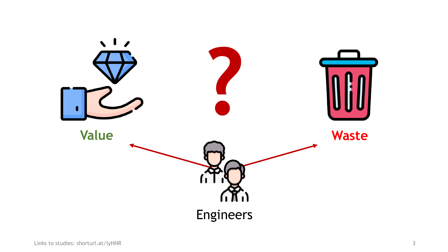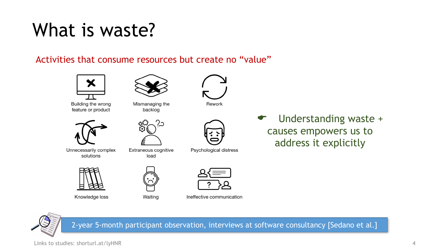## What is waste?

Activities that consume resources but create no "value"





Building the wrong feature or product



Unnecessarily complex solutions



Extraneous cognitive

load



Psychological distress



Knowledge loss

Waiting



Ineffective communication

Understanding waste + causes empowers us to address it explicitly



2-year 5-month participant observation, interviews at software consultancy [Sedano et al.]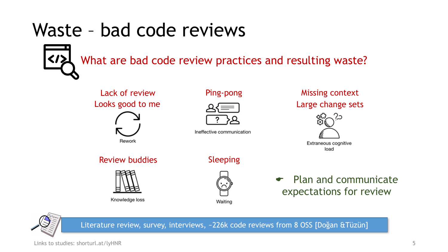## Waste – bad code reviews



### What are bad code review practices and resulting waste?

#### Lack of review Looks good to me







Ineffective communication

### Missing context

#### Large change sets



Extraneous cognitive load

Review buddies



Knowledge loss

### Sleeping



Waiting

**Plan and communicate** expectations for review



Literature review, survey, interviews, ~226k code reviews from 8 OSS [Doğan &Tüzün]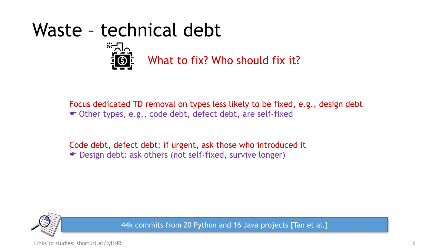## Waste – technical debt



What to fix? Who should fix it?

Focus dedicated TD removal on types less likely to be fixed, e.g., design debt  $\bullet$  Other types, e.g., code debt, defect debt, are self-fixed

Code debt, defect debt: if urgent, ask those who introduced it

• Design debt: ask others (not self-fixed, survive longer)



44k commits from 20 Python and 16 Java projects [Tan et al.]

Links to studies: shorturl.at/lyHNR 6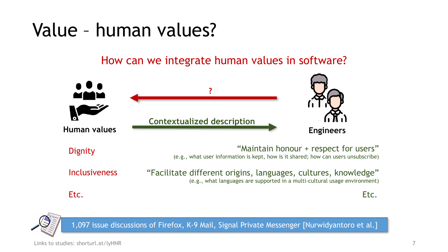## Value – human values?

### How can we integrate human values in software?





1,097 issue discussions of Firefox, K-9 Mail, Signal Private Messenger [Nurwidyantoro et al.]